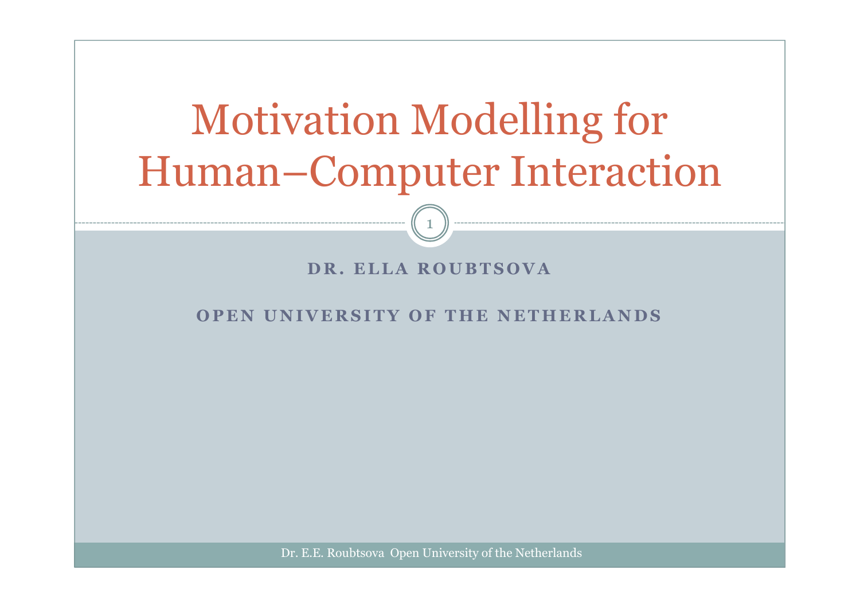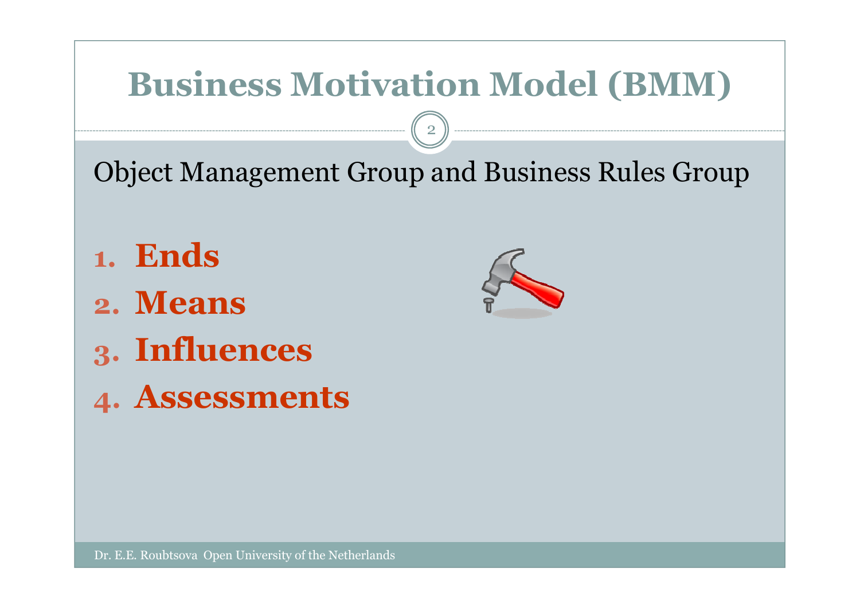# **Business Motivation Model (BMM)**

2

Object Management Group and Business Rules Group

- **1.Ends**
- **2. Means**
- **3. Influences**
- **4. Assessments**

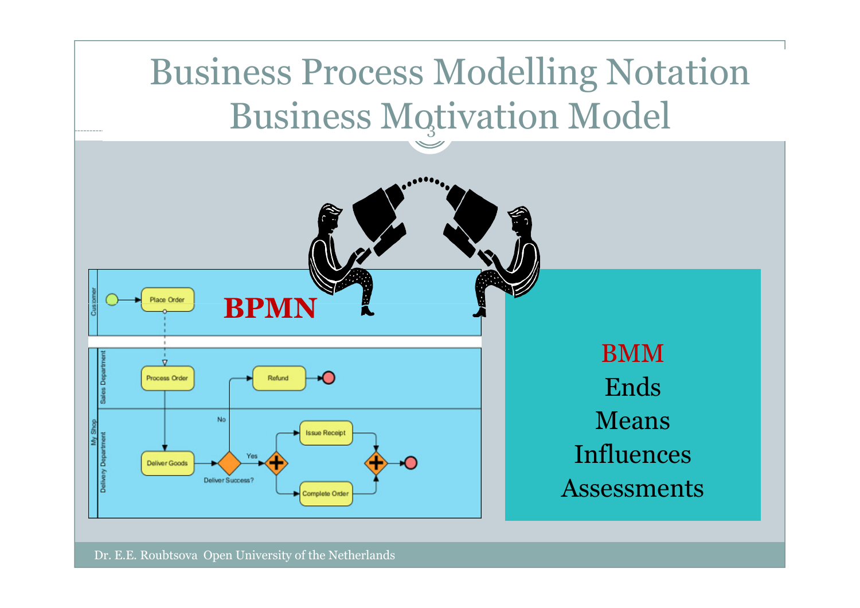# Business Process Modelling Notation Business Motivation Model

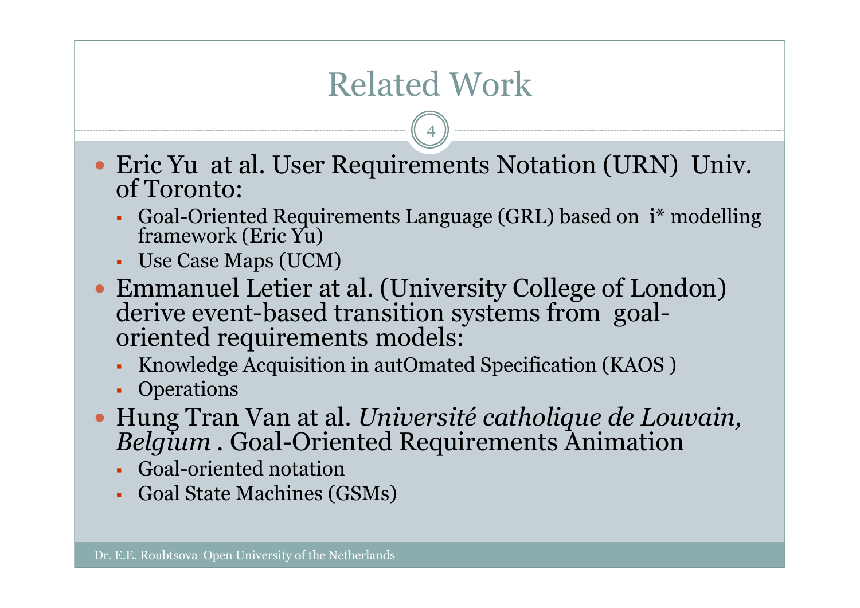# Related Work

- Eric Yu at al. User Requirements Notation (URN) Univ. of Toronto:
	- Goal-Oriented Requirements Language (GRL) based on i\* modelling framework (Eric Yu)
	- Use Case Maps (UCM)
- Emmanuel Letier at al. (University College of London) derive event-based transition systems from goal-Eric Yu at al. User Requirements Notation (URN<br>of Toronto:<br>• Goal-Oriented Requirements Language (GRL) based on i<sup>\*</sup><br>framework (Eric Yu)<br>• Use Case Maps (UCM)<br>Emmanuel Letier at al. (University College of Lo<br>derive event-b
	- Knowledge Acquisition in autOmated Specification (KAOS )<br>• Operations
	- Operations
- $\bullet$  Hung Tran Van at al. *Université catholique de Louvain, Belgium .* Goal-Oriented Requirements Animation
	- Goal-oriented notation
	- . Goal State Machines ( Goal State Machines (GSMs)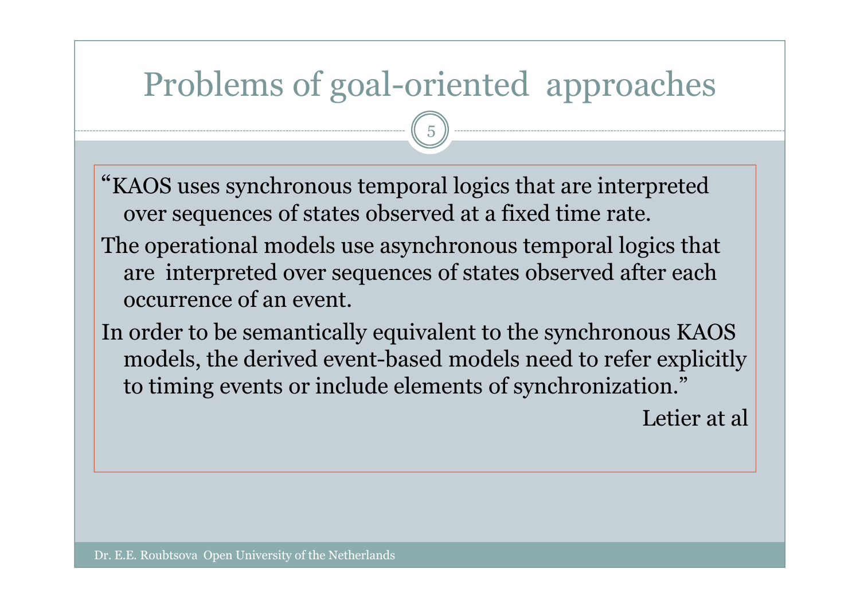# Problems of goal-oriented approaches

5

"KAOS uses synchronous temporal logics that are interpreted over sequences of states observed at a fixed time rate.

- The operational models use asynchronous temporal logics that are interpreted over sequences of states observed after each occurrence of an event.
- In order to be semantically equivalent to the synchronous KAOS models, the derived event-based models need to refer explicitly to timing events or include elements of synchronization."

Letier at al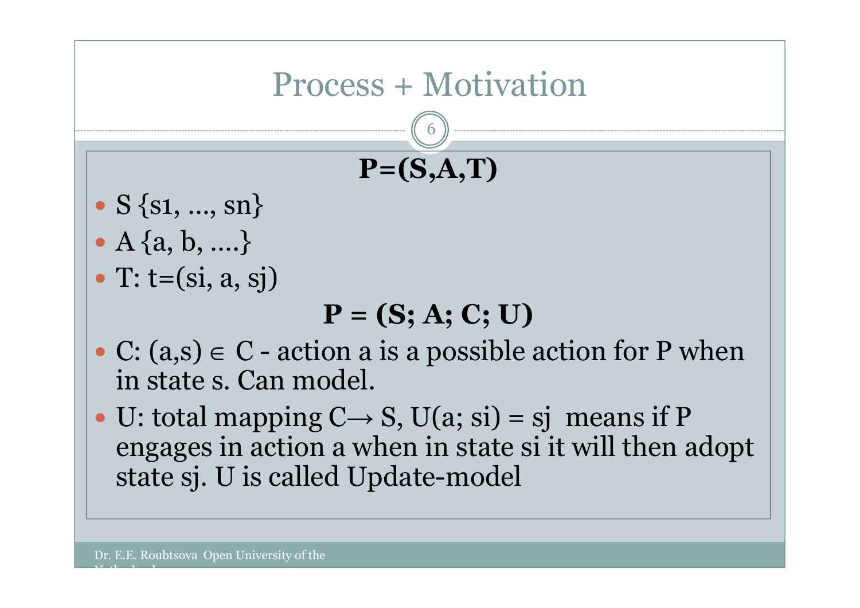

 U: total mapping C $\longrightarrow$  $\rightarrow$  S, U(a; si) = sj means if P<br>when in state si it will then a engages in action a when in state si it will then adopt<br>state si. U is called Undate-model state sj. U is called Update-model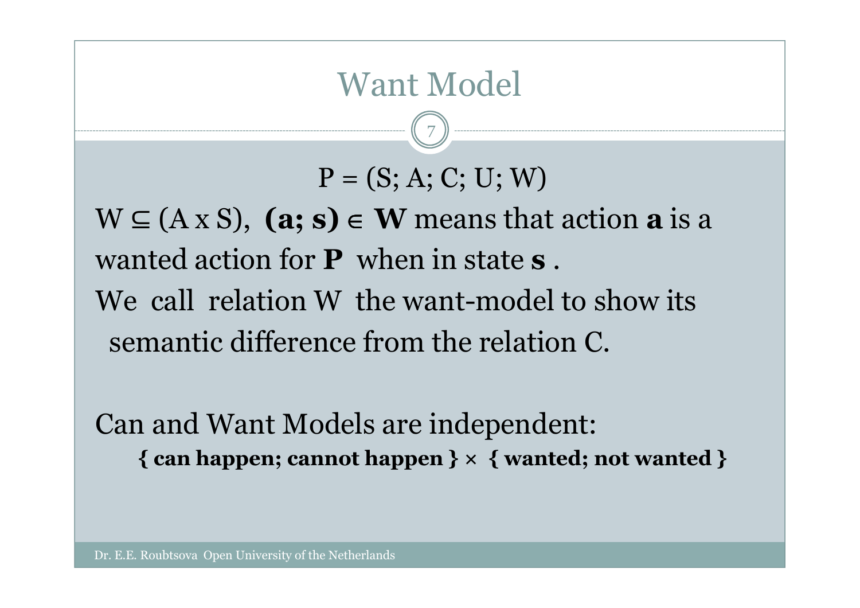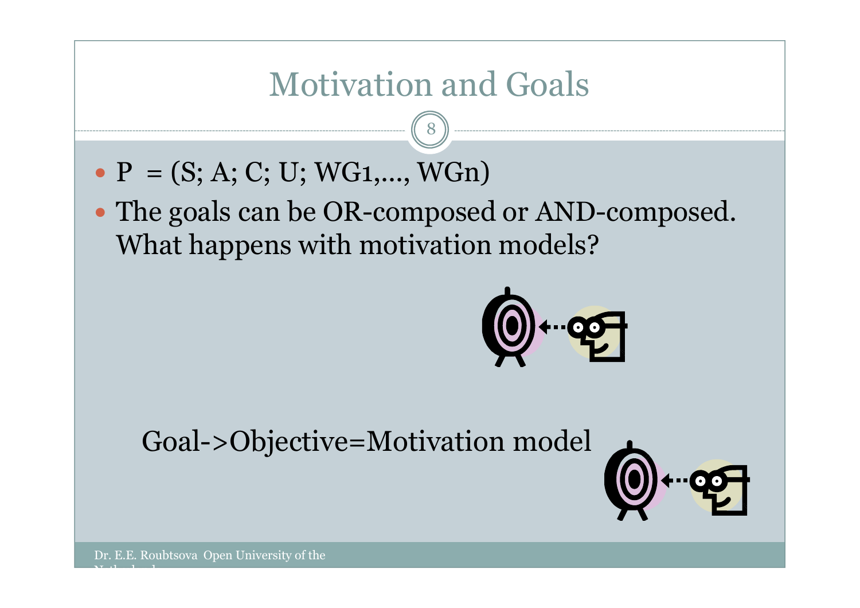## Motivation and Goals

8

- $P = (S; A; C; U; WG1,..., WGn)$
- The goals can be OR-composed or AND-composed. What happens with motivation models?



Goal->Objective=Motivation model

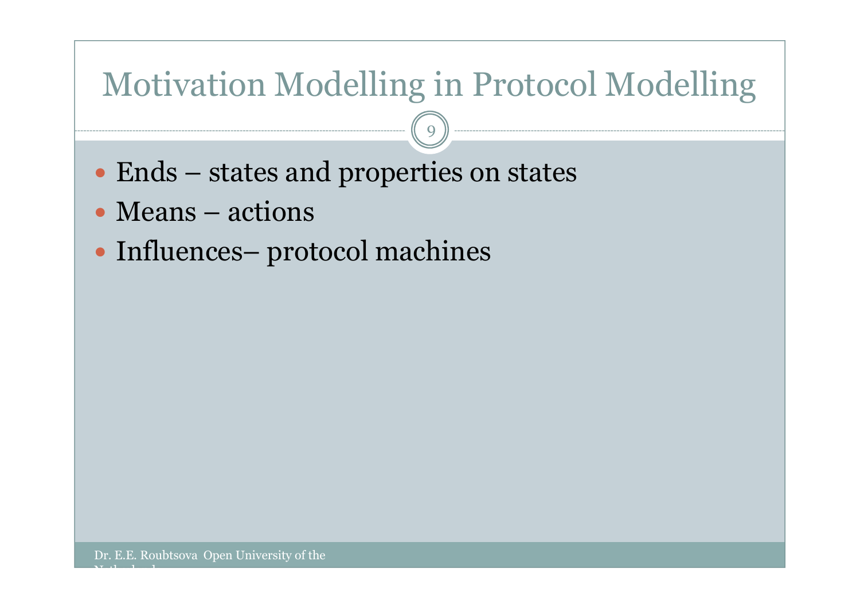# Motivation Modelling in Protocol Modelling

9

- $\bullet$  Ends states and properties on states
- Means actions
- Influences– protocol machines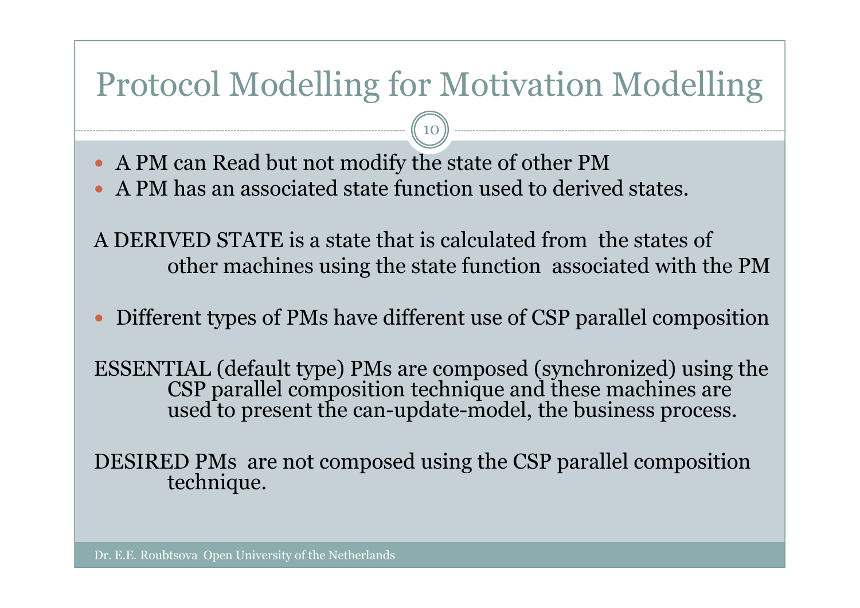### Protocol Modelling for Motivation Modelling

10

- A PM can Read but not modify the state of other PM
- A PM has an associated state function used to derived states.
- A DERIVED STATE is a state that is calculated from the states of other machines using the state function associated with the PM
- $\bullet$ Different types of PMs have different use of CSP parallel composition

ESSENTIAL (default type) PMs are composed (synchronized) using the CSP parallel composition technique and these machines are used to present the can-update-model, the business process.

DESIRED PMs are not composed using the CSP parallel composition technique.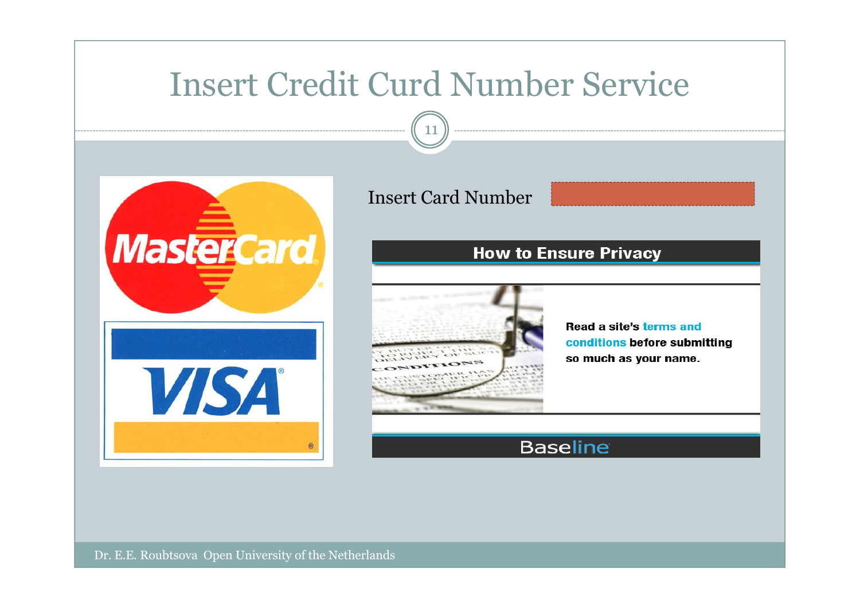### Insert Credit Curd Number Service

11



#### Insert Card Number

#### **How to Ensure Privacy**



**Read a site's terms and** conditions before submitting so much as your name.

#### **Baseline**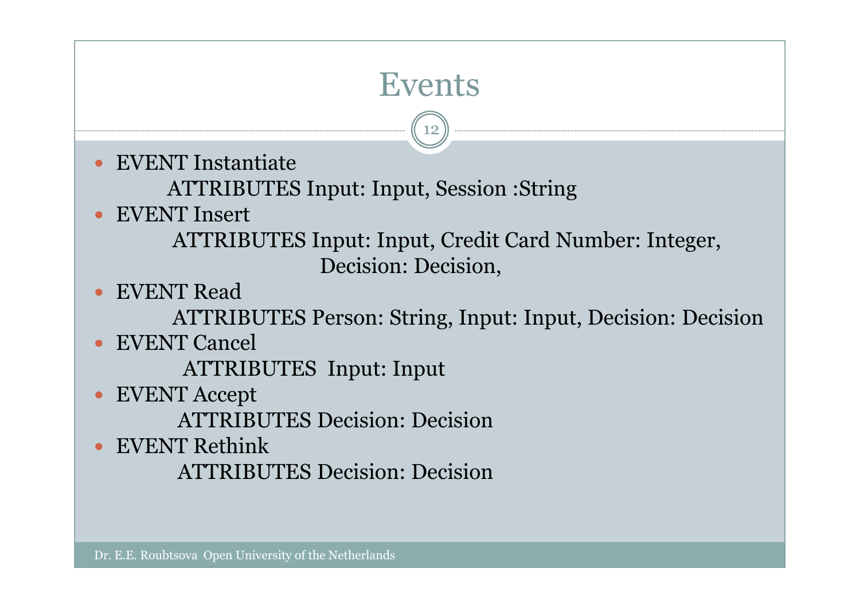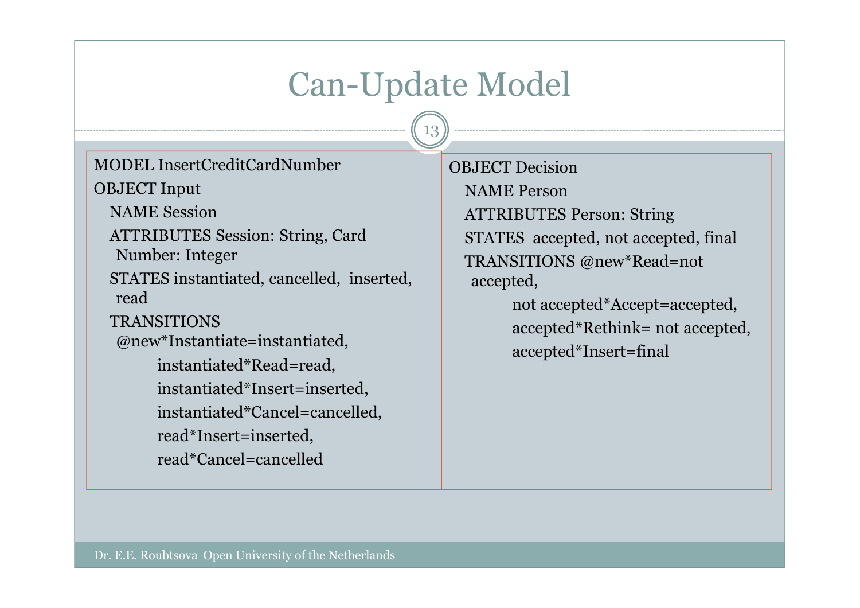### Can-Update Model

13

MODEL InsertCreditCardNumberOBJECT Input

NAME Session

ATTRIBUTES Session: String, Card

Number: Integer

STATES instantiated, cancelled, inserted, read

```
TRANSITIONS
```
@new\*Instantiate=instantiated,

instantiated\*Read=read,

instantiated\*Insert=inserted,

instantiated\*Cancel=cancelled,

read\*Insert=inserted,

read\*Cancel=cancelled

OBJECT Decision

NAME Person

 ATTRIBUTES Person: StringSTATES accepted, not accepted, finalTRANSITIONS @new\*Read=not accepted,

> not accepted\*Accept=accepted,accepted\*Rethink= not accepted,accepted\*Insert=final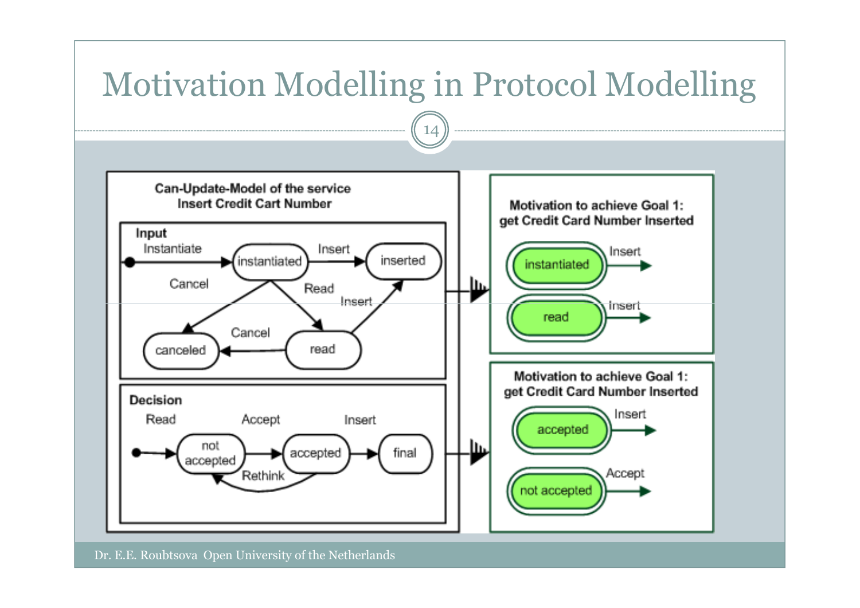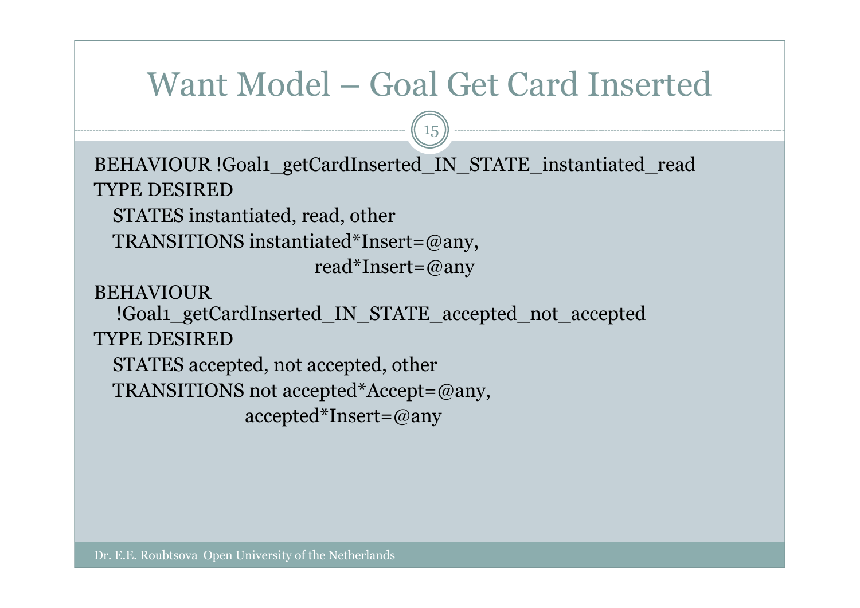### Want Model – Goal Get Card Inserted

15

BEHAVIOUR !Goal1\_getCardInserted\_IN\_STATE\_instantiated\_readTYPE DESIRED

 STATES instantiated, read, otherTRANSITIONS instantiated\*Insert=@any,

read\*Insert=@any

**BEHAVIOUR** 

!Goal1\_getCardInserted\_IN\_STATE\_accepted\_not\_acceptedTYPE DESIRED

 STATES accepted, not accepted, otherTRANSITIONS not accepted\*Accept=@any,accepted\*Insert=@any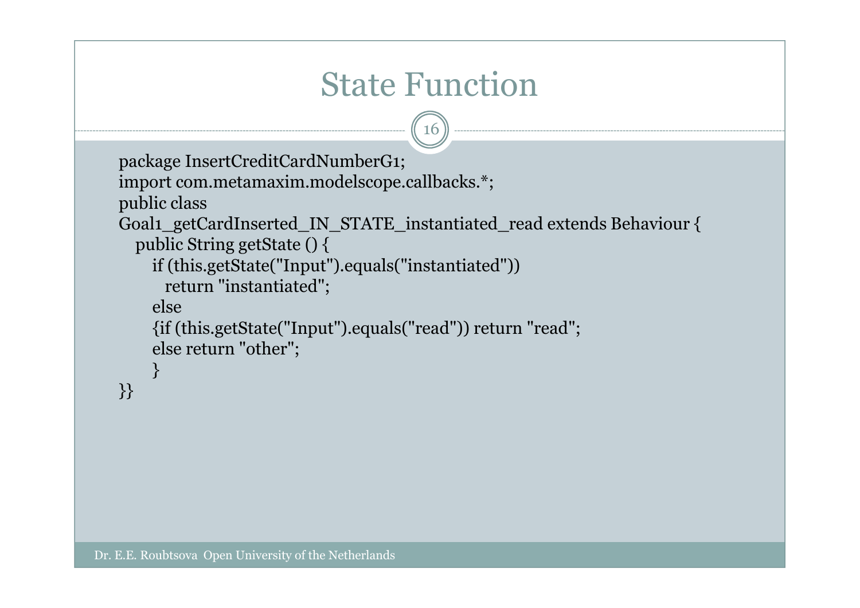```
State Functionpackage InsertCreditCardNumberG1;
import com.metamaxim.modelscope.callbacks.*;public class
Goal1_getCardInserted_IN_STATE_instantiated_read extends Behaviour {public String getState () {
    if (this.getState("Input").equals("instantiated"))return "instantiated";else
{if (this.getState("Input").equals("read")) return "read";16else return "other";}<br>}
}}
```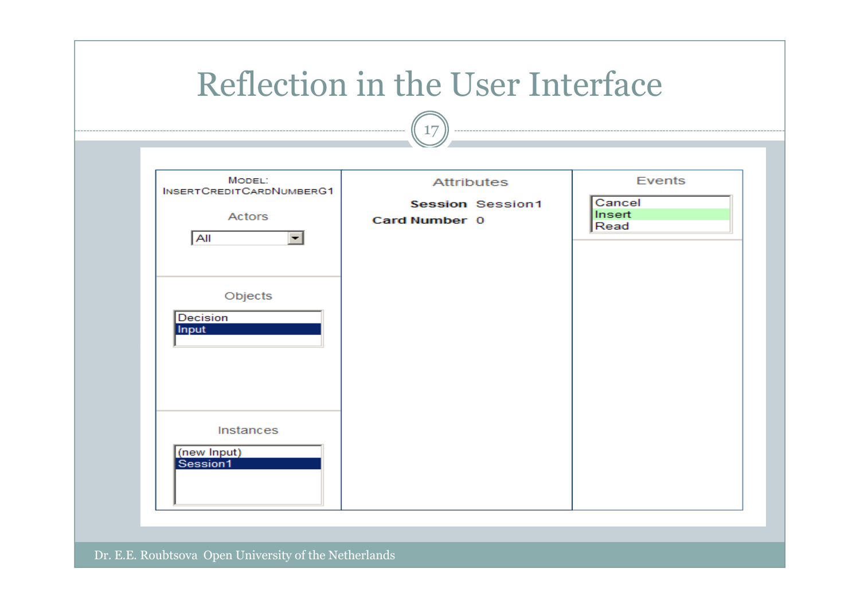|                                                                                                                                                                | Reflection in the User Interface<br>17                        |                                    |
|----------------------------------------------------------------------------------------------------------------------------------------------------------------|---------------------------------------------------------------|------------------------------------|
| MODEL:<br><b>INSERTCREDITCARDNUMBERG1</b><br>Actors<br>All<br>$\vert \mathbf{v} \vert$<br>Objects<br>Decision<br>Input<br>Instances<br>(new Input)<br>Session1 | <b>Attributes</b><br><b>Session Session1</b><br>Card Number 0 | Events<br>Cancel<br>Insert<br>Read |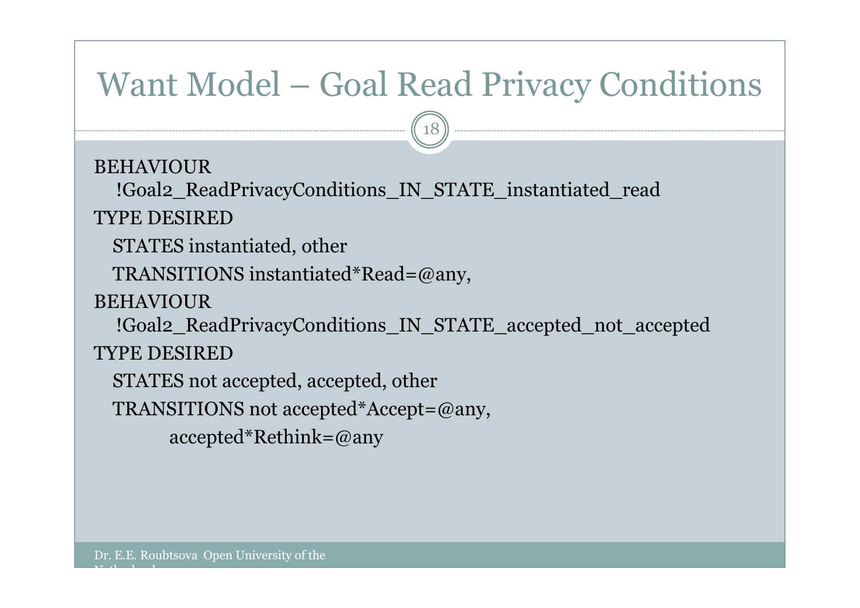### Want Model – Goal Read Privacy Conditions

18

**BEHAVIOUR** 

!Goal2\_ReadPrivacyConditions\_IN\_STATE\_instantiated\_read

TYPE DESIRED

STATES instantiated, other

TRANSITIONS instantiated\*Read=@any,

**BEHAVIOUR** 

!Goal2\_ReadPrivacyConditions\_IN\_STATE\_accepted\_not\_accepted

TYPE DESIRED

 $\mathbf{v}$  and  $\mathbf{v}$ 

STATES not accepted, accepted, other

TRANSITIONS not accepted\*Accept=@any,

accepted\*Rethink=@any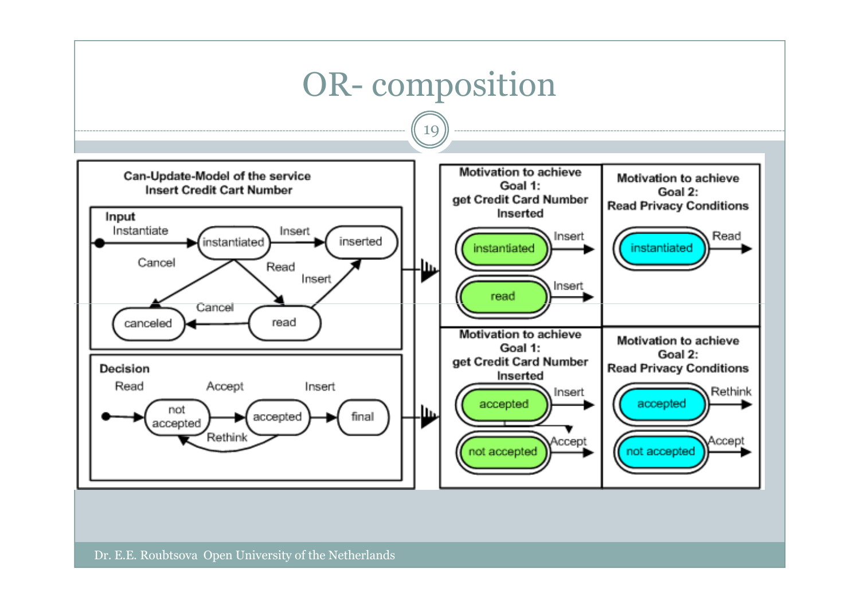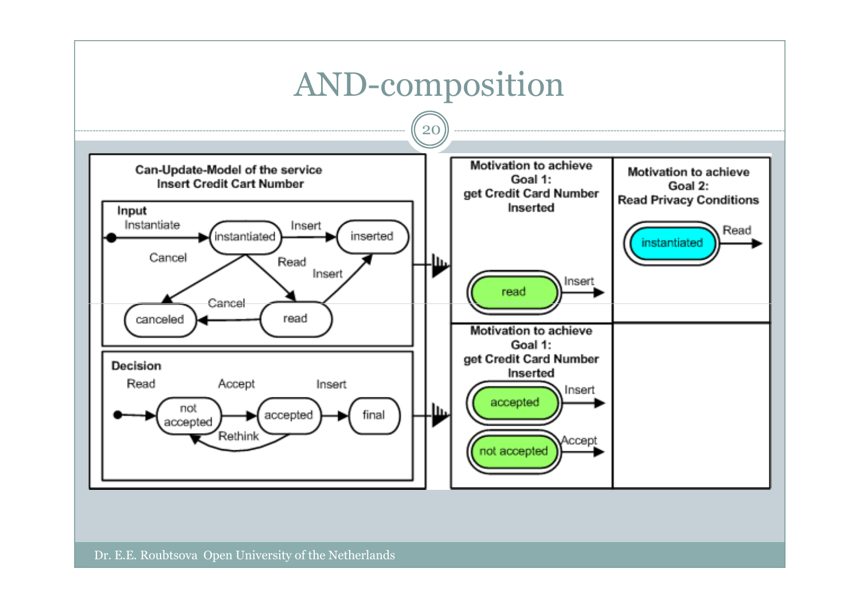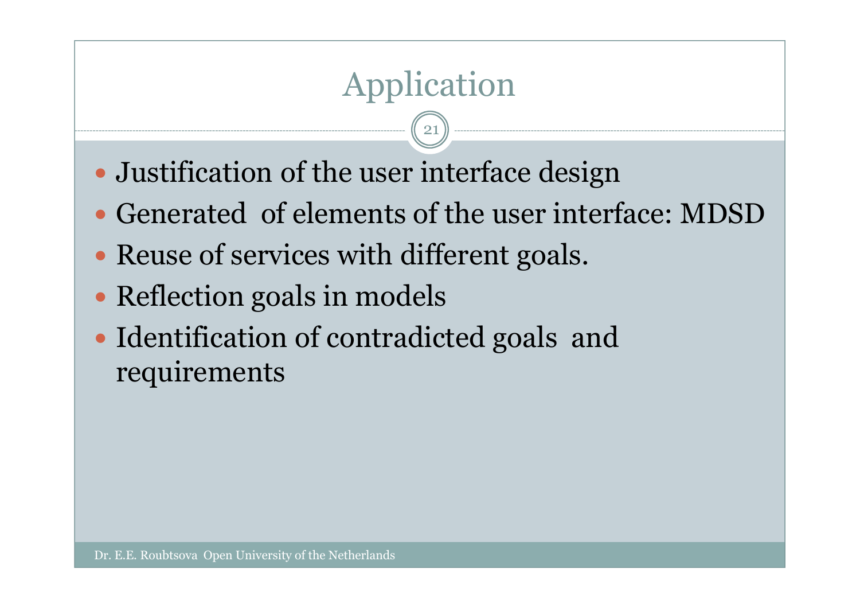# Application

21

- Justification of the user interface design
- Generated of elements of the user interface: MDSD
- Reuse of services with different goals.
- Reflection goals in models
- Identification of contradicted goals and requirements